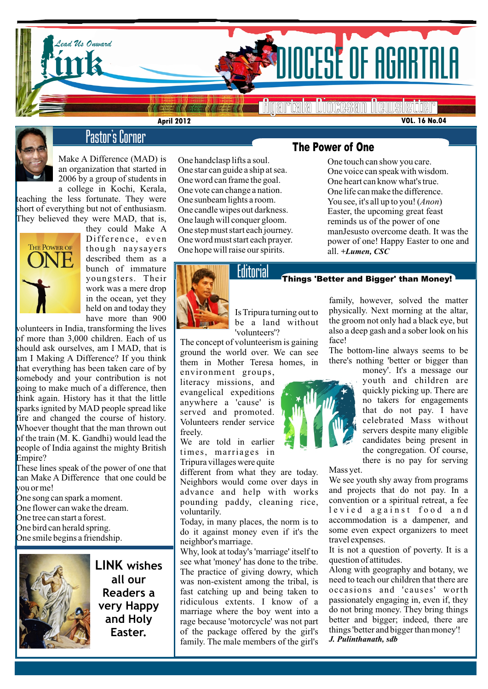

# **Lead Us On Britain Constantinent Constantinent Constantinent Constantinent Constantinent Constantinent Constantinent Constantinent Constantinent Constantinent Constantinent Constantinen**

Agartala Diocesan Newsletter

**VOL. 16 No.04**



# Pastor's Corner

**April 2012**

Make A Difference (MAD) is an organization that started in 2006 by a group of students in

a college in Kochi, Kerala, teaching the less fortunate. They were short of everything but not of enthusiasm. They believed they were MAD, that is,



they could Make A Difference, even though naysayers described them as a bunch of immature youngsters. Their work was a mere drop in the ocean, yet they held on and today they have more than 900

volunteers in India, transforming the lives of more than 3,000 children. Each of us should ask ourselves, am I MAD, that is am I Making A Difference? If you think that everything has been taken care of by somebody and your contribution is not going to make much of a difference, then think again. History has it that the little sparks ignited by MAD people spread like fire and changed the course of history. Whoever thought that the man thrown out of the train (M. K. Gandhi) would lead the people of India against the mighty British Empire?

These lines speak of the power of one that can Make A Difference that one could be you or me!

One song can spark a moment. One flower can wake the dream. One tree can start a forest. One bird can herald spring. One smile begins a friendship.



**LINK wishes all our Readers a very Happy and Holy Easter.**

One handclasp lifts a soul. One star can guide a ship at sea. One word can frame the goal. One vote can change a nation. One sunbeam lights a room. One candle wipes out darkness. One laugh will conquer gloom. One step must start each journey. One word must start each prayer. One hope will raise our spirits.



# Editorial

Is Tripura turning out to be a land without 'volunteers'?

The concept of volunteerism is gaining ground the world over. We can see them in Mother Teresa homes, in

environment groups, literacy missions, and evangelical expeditions anywhere a 'cause' is served and promoted. Volunteers render service freely.

We are told in earlier times, marriages in Tripura villages were quite

Reignons would come over days in different from what they are today. Neighbors would come over days in pounding paddy, cleaning rice, voluntarily.

> Today, in many places, the norm is to do it against money even if it's the neighbor's marriage.

> Why, look at today's 'marriage' itself to see what 'money' has done to the tribe. The practice of giving dowry, which was non-existent among the tribal, is fast catching up and being taken to ridiculous extents. I know of a marriage where the boy went into a rage because 'motorcycle' was not part of the package offered by the girl's family. The male members of the girl's

# The Power of One

One touch can show you care. One voice can speak with wisdom. One heart can know what's true. One life can make the difference. You see, it's all up to you! (*Anon*) Easter, the upcoming great feast reminds us of the power of one manJesusto overcome death. It was the power of one! Happy Easter to one and all. *+Lumen, CSC*

### Things 'Better and Bigger' than Money!

family, however, solved the matter physically. Next morning at the altar, the groom not only had a black eye, but also a deep gash and a sober look on his face!

The bottom-line always seems to be there's nothing 'better or bigger than

> money'. It's a message our youth and children are quickly picking up. There are no takers for engagements that do not pay. I have celebrated Mass without servers despite many eligible candidates being present in the congregation. Of course, there is no pay for serving

### Mass yet.

We see youth shy away from programs and projects that do not pay. In a convention or a spiritual retreat, a fee levied against food and accommodation is a dampener, and some even expect organizers to meet travel expenses.

It is not a question of poverty. It is a question of attitudes.

Along with geography and botany, we need to teach our children that there are occasions and 'causes' worth passionately engaging in, even if, they do not bring money. They bring things better and bigger; indeed, there are things 'better and bigger than money'! *J. Pulinthanath, sdb*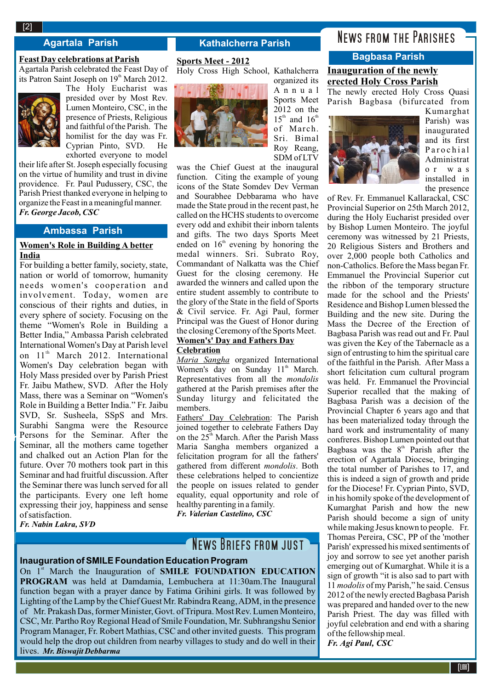### **Agartala Parish Kathalcherra Parish**

### **Feast Day celebrations at Parish**

Agartala Parish celebrated the Feast Day of its Patron Saint Joseph on  $19<sup>th</sup>$  March 2012.



The Holy Eucharist was presided over by Most Rev. Lumen Monteiro, CSC, in the presence of Priests, Religious and faithful of the Parish. The homilist for the day was Fr. Cyprian Pinto, SVD. He exhorted everyone to model

their life after St. Joseph especially focusing on the virtue of humility and trust in divine providence. Fr. Paul Pudussery, CSC, the Parish Priest thanked everyone in helping to organize the Feast in a meaningful manner. *Fr. George Jacob, CSC*

### **Ambassa Parish**

### **Women's Role in Building A better India**

For building a better family, society, state, nation or world of tomorrow, humanity needs women's cooperation and involvement. Today, women are conscious of their rights and duties, in every sphere of society. Focusing on the theme "Women's Role in Building a Better India," Ambassa Parish celebrated International Women's Day at Parish level on 11<sup>th</sup> March 2012. International Women's Day celebration began with Holy Mass presided over by Parish Priest Fr. Jaibu Mathew, SVD. After the Holy Mass, there was a Seminar on "Women's Role in Building a Better India." Fr. Jaibu SVD, Sr. Susheela, SSpS and Mrs. Surabhi Sangma were the Resource Persons for the Seminar. After the Seminar, all the mothers came together and chalked out an Action Plan for the future. Over 70 mothers took part in this Seminar and had fruitful discussion. After the Seminar there was lunch served for all the participants. Every one left home expressing their joy, happiness and sense of satisfaction.

*Fr. Nabin Lakra, SVD*

 $\mathbb{R}^2$ 

### **Sports Meet - 2012**

Holy Cross High School, Kathalcherra



organized its A n n u a l Sports Meet 2012 on the  $15<sup>th</sup>$  and  $16<sup>th</sup>$ of March. Sri. Bimal Roy Reang, SDM of LTV

was the Chief Guest at the inaugural function. Citing the example of young icons of the State Somdev Dev Verman and Sourabhee Debbarama who have made the State proud in the recent past, he called on the HCHS students to overcome every odd and exhibit their inborn talents and gifts. The two days Sports Meet ended on  $16<sup>th</sup>$  evening by honoring the medal winners. Sri. Subrato Roy, Commandant of Nalkatta was the Chief Guest for the closing ceremony. He awarded the winners and called upon the entire student assembly to contribute to the glory of the State in the field of Sports & Civil service. Fr. Agi Paul, former Principal was the Guest of Honor during the closing Ceremony of the Sports Meet. **Women's' Day and Fathers Day** 

### **Celebration**

*Maria Sangha* organized International Women's day on Sunday  $11<sup>th</sup>$  March. Representatives from all the *mondolis* gathered at the Parish premises after the Sunday liturgy and felicitated the members.

Fathers' Day Celebration: The Parish joined together to celebrate Fathers Day on the 25<sup>th</sup> March. After the Parish Mass Maria Sangha members organized a felicitation program for all the fathers' gathered from different *mondolis*. Both these celebrations helped to concientize the people on issues related to gender equality, equal opportunity and role of healthy parenting in a family.

*Fr. Valerian Castelino, CSC*

# NEWS BRIEFS FROM JUST

### **Inauguration of SMILE Foundation Education Program**

On 1<sup>st</sup> March the Inauguration of **SMILE FOUNDATION EDUCATION PROGRAM** was held at Damdamia, Lembuchera at 11:30am.The Inaugural function began with a prayer dance by Fatima Grihini girls. It was followed by Lighting of the Lamp by the Chief Guest Mr. Rabindra Reang, ADM, in the presence of Mr. Prakash Das, former Minister, Govt. of Tripura. Most Rev. Lumen Monteiro, CSC, Mr. Partho Roy Regional Head of Smile Foundation, Mr. Subhrangshu Senior Program Manager, Fr. Robert Mathias, CSC and other invited guests. This program would help the drop out children from nearby villages to study and do well in their lives. *Mr. Biswajit Debbarma*

# News from the Parishes

# **Bagbasa Parish**

### **Inauguration of the newly erected Holy Cross Parish** The newly erected Holy Cross Quasi

Parish Bagbasa (bifurcated from



Kumarghat Parish) was inaugurated and its first P a r o c h i a l Administrat o r w a s installed in the presence

of Rev. Fr. Emmanuel Kallarackal, CSC Provincial Superior on 25th March 2012, during the Holy Eucharist presided over by Bishop Lumen Monteiro. The joyful ceremony was witnessed by 21 Priests, 20 Religious Sisters and Brothers and over 2,000 people both Catholics and non-Catholics. Before the Mass began Fr. Emmanuel the Provincial Superior cut the ribbon of the temporary structure made for the school and the Priests' Residence and Bishop Lumen blessed the Building and the new site. During the Mass the Decree of the Erection of Bagbasa Parish was read out and Fr. Paul was given the Key of the Tabernacle as a sign of entrusting to him the spiritual care of the faithful in the Parish. After Mass a short felicitation cum cultural program was held. Fr. Emmanuel the Provincial Superior recalled that the making of Bagbasa Parish was a decision of the Provincial Chapter 6 years ago and that has been materialized today through the hard work and instrumentality of many confreres. Bishop Lumen pointed out that Bagbasa was the  $8<sup>th</sup>$  Parish after the erection of Agartala Diocese, bringing the total number of Parishes to 17, and this is indeed a sign of growth and pride for the Diocese! Fr. Cyprian Pinto, SVD, in his homily spoke of the development of Kumarghat Parish and how the new Parish should become a sign of unity while making Jesus known to people. Fr. Thomas Pereira, CSC, PP of the 'mother Parish' expressed his mixed sentiments of joy and sorrow to see yet another parish emerging out of Kumarghat. While it is a sign of growth "it is also sad to part with 11 *modolis* of my Parish," he said. Census 2012 of the newly erected Bagbasa Parish was prepared and handed over to the new Parish Priest. The day was filled with joyful celebration and end with a sharing of the fellowship meal. *Fr. Agi Paul, CSC*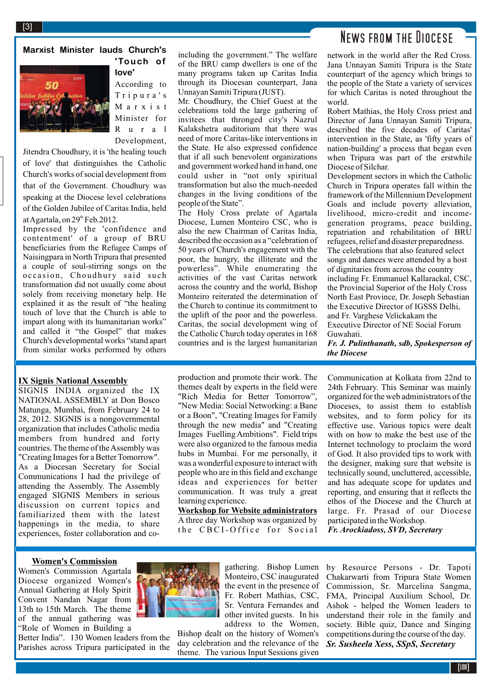# News from the Diocese

network in the world after the Red Cross. Jana Unnayan Samiti Tripura is the State counterpart of the agency which brings to the people of the State a variety of services for which Caritas is noted throughout the world.

Robert Mathias, the Holy Cross priest and Director of Jana Unnayan Samiti Tripura, described the five decades of Caritas' intervention in the State, as 'fifty years of nation-building' a process that began even when Tripura was part of the erstwhile Diocese of Silchar.

Development sectors in which the Catholic Church in Tripura operates fall within the framework of the Millennium Development Goals and include poverty alleviation, livelihood, micro-credit and incomegeneration programs, peace building, repatriation and rehabilitation of BRU refugees, relief and disaster preparedness. The celebrations that also featured select songs and dances were attended by a host of dignitaries from across the country including Fr. Emmanuel Kallarackal, CSC, the Provincial Superior of the Holy Cross North East Province, Dr. Joseph Sebastian the Executive Director of IGSSS Delhi, and Fr. Varghese Velickakam the Executive Director of NE Social Forum Guwahati.

*Fr. J. Pulinthanath, sdb, Spokesperson of the Diocese*

Communication at Kolkata from 22nd to 24th February. This Seminar was mainly organized for the web administrators of the Dioceses, to assist them to establish websites, and to form policy for its effective use. Various topics were dealt with on how to make the best use of the Internet technology to proclaim the word of God. It also provided tips to work with the designer, making sure that website is technically sound, uncluttered, accessible, and has adequate scope for updates and reporting, and ensuring that it reflects the ethos of the Diocese and the Church at large. Fr. Prasad of our Diocese participated in the Workshop. *Fr. Arockiadoss, SVD, Secretary*

### "Rich Media for Better Tomorrow", "New Media: Social Networking: a Bane or a Boon", "Creating Images for Family through the new media" and "Creating Images Fuelling Ambitions". Field trips were also organized to the famous media hubs in Mumbai. For me personally, it was a wonderful exposure to interact with people who are in this field and exchange ideas and experiences for better communication. It was truly a great

**Workshop for Website administrators** A three day Workshop was organized by the CBCI-Office for Social

learning experience.

production and promote their work. The themes dealt by experts in the field were

including the government." The welfare of the BRU camp dwellers is one of the many programs taken up Caritas India through its Diocesan counterpart, Jana

Mr. Choudhury, the Chief Guest at the celebrations told the large gathering of invitees that thronged city's Nazrul Kalakshetra auditorium that there was need of more Caritas-like interventions in the State. He also expressed confidence that if all such benevolent organizations and government worked hand in hand, one could usher in "not only spiritual transformation but also the much-needed changes in the living conditions of the

The Holy Cross prelate of Agartala Diocese, Lumen Monteiro CSC, who is also the new Chairman of Caritas India, described the occasion as a "celebration of 50 years of Church's engagement with the poor, the hungry, the illiterate and the powerless". While enumerating the activities of the vast Caritas network across the country and the world, Bishop Monteiro reiterated the determination of the Church to continue its commitment to the uplift of the poor and the powerless. Caritas, the social development wing of the Catholic Church today operates in 168 countries and is the largest humanitarian

Unnayan Samiti Tripura (JUST).

people of the State".

by Resource Persons - Dr. Tapoti Chakarwarti from Tripura State Women Commission, Sr. Marcelina Sangma, FMA, Principal Auxilium School, Dr. Ashok - helped the Women leaders to understand their role in the family and society. Bible quiz, Dance and Singing

competitions during the course of the day.

# **Marxist Minister lauds Church's**



**'Touch of love'** 

According to T r i p u r a ' s M a r x i s t Minister for R u r a l Development,

Jitendra Choudhury, it is 'the healing touch of love' that distinguishes the Catholic Church's works of social development from that of the Government. Choudhury was speaking at the Diocese level celebrations of the Golden Jubilee of Caritas India, held at Agartala, on  $29<sup>th</sup>$  Feb.2012.

Impressed by the 'confidence and contentment' of a group of BRU beneficiaries from the Refugee Camps of Naisingpara in North Tripura that presented a couple of soul-stirring songs on the occasion, Choudhury said such transformation did not usually come about solely from receiving monetary help. He explained it as the result of "the healing touch of love that the Church is able to impart along with its humanitarian works" and called it "the Gospel" that makes Church's developmental works "stand apart from similar works performed by others

### **IX Signis National Assembly**

SIGNIS INDIA organized the IX NATIONAL ASSEMBLY at Don Bosco Matunga, Mumbai, from February 24 to 28, 2012. SIGNIS is a nongovernmental organization that includes Catholic media members from hundred and forty countries. The theme of the Assembly was "Creating Images for a Better Tomorrow". As a Diocesan Secretary for Social Communications I had the privilege of attending the Assembly. The Assembly engaged SIGNIS Members in serious discussion on current topics and familiarized them with the latest happenings in the media, to share experiences, foster collaboration and co-

### **Women's Commission**

Women's Commission Agartala Diocese organized Women's Annual Gathering at Holy Spirit Convent Nandan Nagar from 13th to 15th March. The theme of the annual gathering was "Role of Women in Building a

Better India". 130 Women leaders from the Parishes across Tripura participated in the



gathering. Bishop Lumen Monteiro, CSC inaugurated the event in the presence of Fr. Robert Mathias, CSC, Sr. Ventura Fernandes and other invited guests. In his address to the Women,

Bishop dealt on the history of Women's day celebration and the relevance of the theme. The various Input Sessions given

**2** [LINK] *Sr. Susheela Xess, SSpS, Secretary*